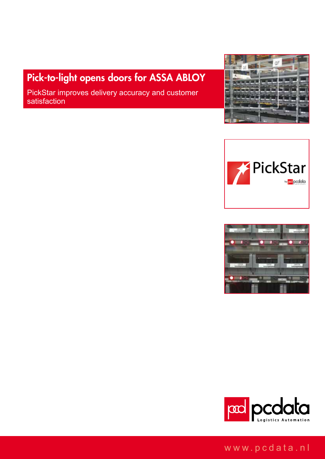# Pick-to-light opens doors for ASSA ABLOY

PickStar improves delivery accuracy and customer satisfaction









## www.pcdata.nl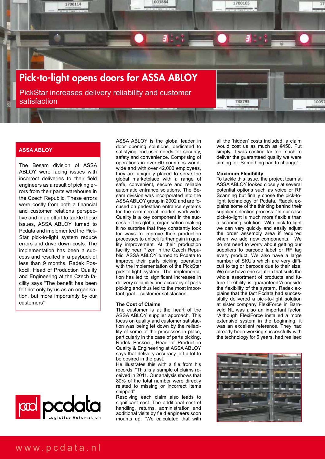

### **ASSA ABLOY**

The Besam division of ASSA ABLOY were facing issues with incorrect deliveries to their field engineers as a result of picking errors from their parts warehouse in the Czech Republic. These errors were costly from both a financial and customer relations perspective and in an effort to tackle these issues, ASSA ABLOY turned to Pcdata and implemented the Pick-Star pick-to-light system reduce errors and drive down costs. The implementation has been a success and resulted in a payback of less than 9 months. Radek Poskocil, Head of Production Quality and Engineering at the Czech facility says "The benefit has been felt not only by us as an organisation, but more importantly by our customers"



ASSA ABLOY is the global leader in door opening solutions, dedicated to satisfying end-user needs for security, safety and convenience. Comprising of operations in over 60 countries worldwide and with over 42,000 employees, they are uniquely placed to serve the global marketplace with a range of safe, convenient, secure and reliable automatic entrance solutions. The Besam division was incorporated into the ASSA ABLOY group in 2002 and are focused on pedestrian entrance systems for the commercial market worldwide. Quality is a key component in the success of this global organisation making it no surprise that they constantly look for ways to improve their production processes to unlock further gain in quality improvement. At their production facility near Plzen in the Czech Republic, ASSA ABLOY turned to Pcdata to improve their parts picking operation with the implementation of the PickStar pick-to-light system. The implementation has led to significant increases in delivery reliability and accuracy of parts picking and thus led to the most important goal – customer satisfaction.

#### **The Cost of Claims**

The customer is at the heart of the ASSA ABLOY supplier approach. This focus on quality and customer satisfaction was being let down by the reliability of some of the processes in place, particularly in the case of parts picking. Radek Poskocil, Head of Production Quality & Engineering at ASSA ABLOY says that delivery accuracy left a lot to be desired in the past.

He illustrates this with a file from his records: "This is a sample of claims received in 2011. Our analysis shows that 80% of the total number were directly related to missing or incorrect items shipped"

Resolving each claim also leads to significant cost. The additional cost of handling, returns, administration and additional visits by field engineers soon mounts up. "We calculated that with

all the 'hidden' costs included, a claim would cost us as much as €450. Put simply, it was costing far too much to deliver the guaranteed quality we were aiming for. Something had to change".

#### **Maximum Flexibility**

To tackle this issue, the project team at ASSA ABLOY looked closely at several potential options such as voice or RF Scanning but finally chose the pick-tolight technology of Pcdata. Radek explains some of the thinking behind their supplier selection process: "In our case pick-to-light is much more flexible than a scanning solution. With pick-to-light we can very quickly and easily adjust the order assembly area if required when we add new components. We do not need to worry about getting our suppliers to barcode label or RF tag every product. We also have a large number of SKU's which are very difficult to tag or barcode due to their size. We now have one solution that suits the whole assortment of products and future flexibility is guaranteed"Alongside the flexibility of the system, Radek explains that the fact Pcdata had successfully delivered a pick-to-light solution at sister company FlexiForce in Barnveld NL was also an important factor. "Although FlexiForce installed a more extensive system in the beginning, it was an excellent reference. They had already been working successfully with the technology for 5 years, had realised

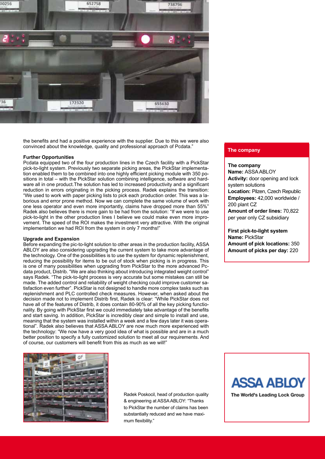

the benefits and had a positive experience with the supplier. Due to this we were also convinced about the knowledge, quality and professional approach of Pcdata."

#### **Further Opportunities**

Pcdata equipped two of the four production lines in the Czech facility with a PickStar pick-to-light system. Previously two separate picking areas, the PickStar implementation enabled them to be combined into one highly efficient picking module with 350 positions in total – with the PickStar solution combining intelligence, software and hardware all in one product.The solution has led to increased productivity and a significant reduction in errors originating in the picking process. Radek explains the transition: "We used to work with paper picking lists to pick each production order. This was a laborious and error prone method. Now we can complete the same volume of work with one less operator and even more importantly, claims have dropped more than 55%" Radek also believes there is more gain to be had from the solution: "If we were to use pick-to-light in the other production lines I believe we could make even more improvement. The speed of the ROI makes the investment very attractive. With the original implementation we had ROI from the system in only 7 months!"

#### **Upgrade and Expansion**

Before expanding the pic-to-light solution to other areas in the production facility, ASSA ABLOY are also considering upgrading the current system to take more advantage of the technology. One of the possibilities is to use the system for dynamic replenishment, reducing the possibility for items to be out of stock when picking is in progress. This is one of many possibilities when upgrading from PickStar to the more advanced Pcdata product, Distrib. "We are also thinking about introducing integrated weight control" says Radek. "The pick-to-light process is very accurate but some mistakes can still be made. The added control and reliability of weight checking could improve customer satisfaction even further". PickStar is not designed to handle more complex tasks such as replenishment and PLC controlled check measures. However, when asked about the decision made not to implement Distrib first, Radek is clear: "While PickStar does not have all of the features of Distrib, it does contain 80-90% of all the key picking functionality. By going with PickStar first we could immediately take advantage of the benefits and start saving. In addition, PickStar is incredibly clear and simple to install and use, meaning that the system was installed within a week and a few days later it was operational". Radek also believes that ASSA ABLOY are now much more experienced with the technology: "We now have a very good idea of what is possible and are in a much better position to specify a fully customized solution to meet all our requirements. And of course, our customers will benefit from this as much as we will!"

#### **The company**

#### **The company**

**Name:** ASSA ABLOY **Activity:** door opening and lock system solutions **Location:** Pilzen, Czech Republic **Employees:** 42,000 worldwide / 200 plant CZ **Amount of order lines:** 70,822 per year only CZ subsidiary

**First pick-to-light system Name:** PickStar **Amount of pick locations:** 350 **Amount of picks per day:** 220



Radek Poskocil, head of production quality & engineering at ASSA ABLOY: "Thanks to PickStar the number of claims has been substantially reduced and we have maximum flexibility."